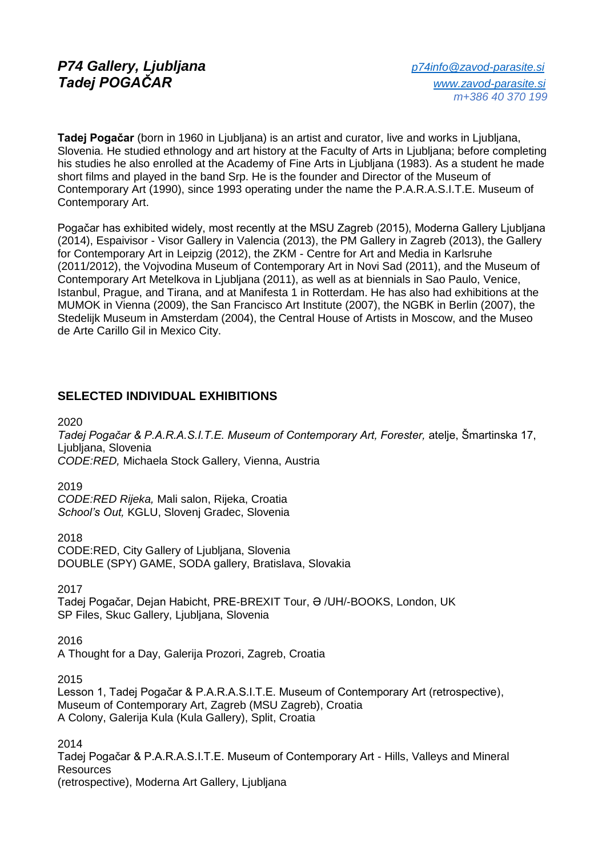# *P74 Gallery, Ljubljana [p74info@zavod-parasite.si](mailto:p74info@zavod-parasite.si) Tadej POGAČAR [www.zavod-parasite.si](http://www.zavod-parasite.si/)*

**Tadej Pogačar** (born in 1960 in Ljubljana) is an artist and curator, live and works in Ljubljana, Slovenia. He studied ethnology and art history at the Faculty of Arts in Ljubljana; before completing his studies he also enrolled at the Academy of Fine Arts in Ljubljana (1983). As a student he made short films and played in the band Srp. He is the founder and Director of the Museum of Contemporary Art (1990), since 1993 operating under the name the P.A.R.A.S.I.T.E. Museum of Contemporary Art.

Pogačar has exhibited widely, most recently at the MSU Zagreb (2015), Moderna Gallery Ljubljana (2014), Espaivisor - Visor Gallery in Valencia (2013), the PM Gallery in Zagreb (2013), the Gallery for Contemporary Art in Leipzig (2012), the ZKM - Centre for Art and Media in Karlsruhe (2011/2012), the Vojvodina Museum of Contemporary Art in Novi Sad (2011), and the Museum of Contemporary Art Metelkova in Ljubljana (2011), as well as at biennials in Sao Paulo, Venice, Istanbul, Prague, and Tirana, and at Manifesta 1 in Rotterdam. He has also had exhibitions at the MUMOK in Vienna (2009), the San Francisco Art Institute (2007), the NGBK in Berlin (2007), the Stedelijk Museum in Amsterdam (2004), the Central House of Artists in Moscow, and the Museo de Arte Carillo Gil in Mexico City.

## **SELECTED INDIVIDUAL EXHIBITIONS**

2020

*Tadej Pogačar & P.A.R.A.S.I.T.E. Museum of Contemporary Art, Forester,* atelje, Šmartinska 17, Ljubljana, Slovenia

*CODE:RED,* Michaela Stock Gallery, Vienna, Austria

2019 *CODE:RED Rijeka,* Mali salon, Rijeka, Croatia *School's Out,* KGLU, Slovenj Gradec, Slovenia

2018 CODE:RED, City Gallery of Ljubljana, Slovenia DOUBLE (SPY) GAME, SODA gallery, Bratislava, Slovakia

2017

Tadej Pogačar, Dejan Habicht, PRE-BREXIT Tour, Ə /UH/-BOOKS, London, UK SP Files, Skuc Gallery, Ljubljana, Slovenia

2016

A Thought for a Day, Galerija Prozori, Zagreb, Croatia

2015

Lesson 1, Tadej Pogačar & P.A.R.A.S.I.T.E. Museum of Contemporary Art (retrospective), Museum of Contemporary Art, Zagreb (MSU Zagreb), Croatia A Colony, Galerija Kula (Kula Gallery), Split, Croatia

2014 Tadej Pogačar & P.A.R.A.S.I.T.E. Museum of Contemporary Art - Hills, Valleys and Mineral Resources (retrospective), Moderna Art Gallery, Ljubljana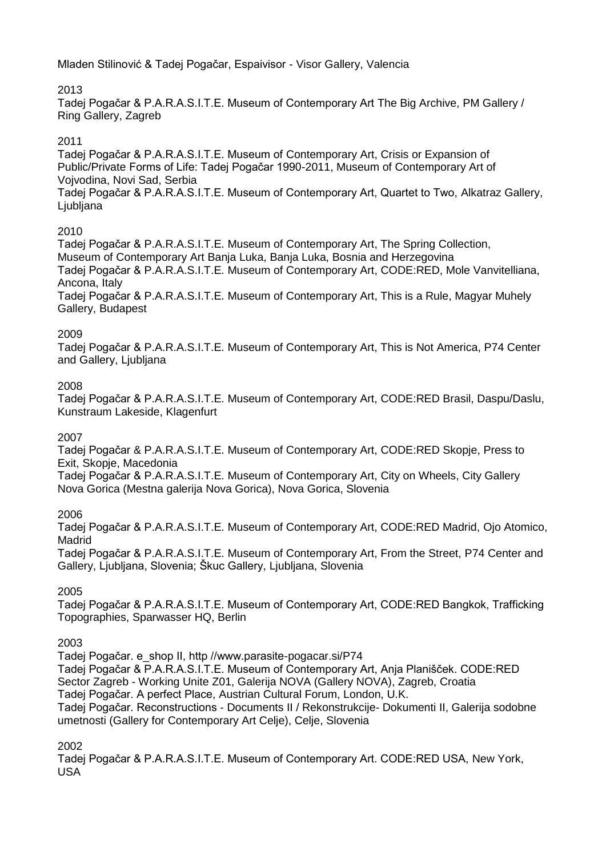Mladen Stilinović & Tadej Pogačar, Espaivisor - Visor Gallery, Valencia

## 2013

Tadej Pogačar & P.A.R.A.S.I.T.E. Museum of Contemporary Art The Big Archive, PM Gallery / Ring Gallery, Zagreb

## 2011

Tadej Pogačar & P.A.R.A.S.I.T.E. Museum of Contemporary Art, Crisis or Expansion of Public/Private Forms of Life: Tadej Pogačar 1990-2011, Museum of Contemporary Art of Vojvodina, Novi Sad, Serbia

Tadej Pogačar & P.A.R.A.S.I.T.E. Museum of Contemporary Art, Quartet to Two, Alkatraz Gallery, **L**jubljana

## 2010

Tadej Pogačar & P.A.R.A.S.I.T.E. Museum of Contemporary Art, The Spring Collection, Museum of Contemporary Art Banja Luka, Banja Luka, Bosnia and Herzegovina Tadej Pogačar & P.A.R.A.S.I.T.E. Museum of Contemporary Art, CODE:RED, Mole Vanvitelliana, Ancona, Italy

Tadej Pogačar & P.A.R.A.S.I.T.E. Museum of Contemporary Art, This is a Rule, Magyar Muhely Gallery, Budapest

## 2009

Tadej Pogačar & P.A.R.A.S.I.T.E. Museum of Contemporary Art, This is Not America, P74 Center and Gallery, Ljubljana

## 2008

Tadej Pogačar & P.A.R.A.S.I.T.E. Museum of Contemporary Art, CODE:RED Brasil, Daspu/Daslu, Kunstraum Lakeside, Klagenfurt

#### 2007

Tadej Pogačar & P.A.R.A.S.I.T.E. Museum of Contemporary Art, CODE:RED Skopje, Press to Exit, Skopje, Macedonia

Tadej Pogačar & P.A.R.A.S.I.T.E. Museum of Contemporary Art, City on Wheels, City Gallery Nova Gorica (Mestna galerija Nova Gorica), Nova Gorica, Slovenia

#### 2006

Tadej Pogačar & P.A.R.A.S.I.T.E. Museum of Contemporary Art, CODE:RED Madrid, Ojo Atomico, Madrid

Tadej Pogačar & P.A.R.A.S.I.T.E. Museum of Contemporary Art, From the Street, P74 Center and Gallery, Ljubljana, Slovenia; Škuc Gallery, Ljubljana, Slovenia

## 2005

Tadej Pogačar & P.A.R.A.S.I.T.E. Museum of Contemporary Art, CODE:RED Bangkok, Trafficking Topographies, Sparwasser HQ, Berlin

#### 2003

Tadej Pogačar. e\_shop II, http //www.parasite-pogacar.si/P74 Tadej Pogačar & P.A.R.A.S.I.T.E. Museum of Contemporary Art, Anja Planišček. CODE:RED Sector Zagreb - Working Unite Z01, Galerija NOVA (Gallery NOVA), Zagreb, Croatia Tadej Pogačar. A perfect Place, Austrian Cultural Forum, London, U.K. Tadej Pogačar. Reconstructions - Documents II / Rekonstrukcije- Dokumenti II, Galerija sodobne umetnosti (Gallery for Contemporary Art Celje), Celje, Slovenia

2002

Tadej Pogačar & P.A.R.A.S.I.T.E. Museum of Contemporary Art. CODE:RED USA, New York, USA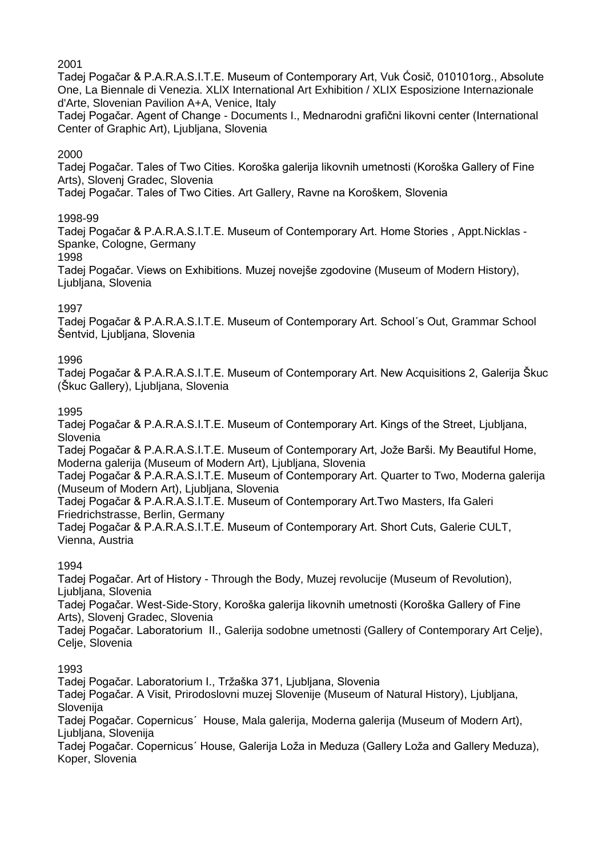Tadej Pogačar & P.A.R.A.S.I.T.E. Museum of Contemporary Art, Vuk Ćosič, 010101org., Absolute One, La Biennale di Venezia. XLlX International Art Exhibition / XLIX Esposizione Internazionale d'Arte, Slovenian Pavilion A+A, Venice, Italy

Tadej Pogačar. Agent of Change - Documents I., Mednarodni grafični likovni center (International Center of Graphic Art), Ljubljana, Slovenia

## 2000

Tadej Pogačar. Tales of Two Cities. Koroška galerija likovnih umetnosti (Koroška Gallery of Fine Arts), Slovenj Gradec, Slovenia

Tadej Pogačar. Tales of Two Cities. Art Gallery, Ravne na Koroškem, Slovenia

## 1998-99

Tadej Pogačar & P.A.R.A.S.I.T.E. Museum of Contemporary Art. Home Stories , Appt.Nicklas - Spanke, Cologne, Germany

1998

Tadej Pogačar. Views on Exhibitions. Muzej novejše zgodovine (Museum of Modern History), Ljubljana, Slovenia

## 1997

Tadej Pogačar & P.A.R.A.S.I.T.E. Museum of Contemporary Art. School´s Out, Grammar School Šentvid, Ljubljana, Slovenia

#### 1996

Tadej Pogačar & P.A.R.A.S.I.T.E. Museum of Contemporary Art. New Acquisitions 2, Galerija Škuc (Škuc Gallery), Ljubljana, Slovenia

#### 1995

Tadej Pogačar & P.A.R.A.S.I.T.E. Museum of Contemporary Art. Kings of the Street, Ljubljana, Slovenia

Tadej Pogačar & P.A.R.A.S.I.T.E. Museum of Contemporary Art, Jože Barši. My Beautiful Home, Moderna galerija (Museum of Modern Art), Ljubljana, Slovenia

Tadej Pogačar & P.A.R.A.S.I.T.E. Museum of Contemporary Art. Quarter to Two, Moderna galerija (Museum of Modern Art), Ljubljana, Slovenia

Tadej Pogačar & P.A.R.A.S.I.T.E. Museum of Contemporary Art.Two Masters, Ifa Galeri Friedrichstrasse, Berlin, Germany

Tadej Pogačar & P.A.R.A.S.I.T.E. Museum of Contemporary Art. Short Cuts, Galerie CULT, Vienna, Austria

#### 1994

Tadej Pogačar. Art of History - Through the Body, Muzej revolucije (Museum of Revolution), Ljubljana, Slovenia

Tadej Pogačar. West-Side-Story, Koroška galerija likovnih umetnosti (Koroška Gallery of Fine Arts), Slovenj Gradec, Slovenia

Tadej Pogačar. Laboratorium II., Galerija sodobne umetnosti (Gallery of Contemporary Art Celje), Celje, Slovenia

#### 1993

Tadej Pogačar. Laboratorium I., Tržaška 371, Ljubljana, Slovenia

Tadej Pogačar. A Visit, Prirodoslovni muzej Slovenije (Museum of Natural History), Ljubljana, **Slovenija** 

Tadej Pogačar. Copernicus´ House, Mala galerija, Moderna galerija (Museum of Modern Art), Liubliana, Slovenija

Tadej Pogačar. Copernicus´ House, Galerija Loža in Meduza (Gallery Loža and Gallery Meduza), Koper, Slovenia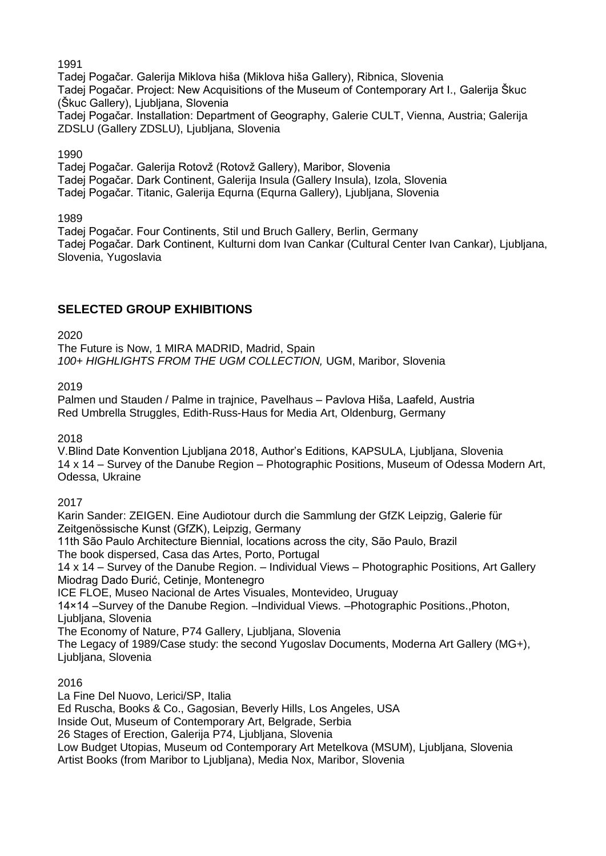Tadej Pogačar. Galerija Miklova hiša (Miklova hiša Gallery), Ribnica, Slovenia Tadej Pogačar. Project: New Acquisitions of the Museum of Contemporary Art I., Galerija Škuc (Škuc Gallery), Ljubljana, Slovenia Tadej Pogačar. Installation: Department of Geography, Galerie CULT, Vienna, Austria; Galerija ZDSLU (Gallery ZDSLU), Ljubljana, Slovenia

## 1990

Tadej Pogačar. Galerija Rotovž (Rotovž Gallery), Maribor, Slovenia Tadej Pogačar. Dark Continent, Galerija Insula (Gallery Insula), Izola, Slovenia Tadej Pogačar. Titanic, Galerija Equrna (Equrna Gallery), Ljubljana, Slovenia

1989

Tadej Pogačar. Four Continents, Stil und Bruch Gallery, Berlin, Germany Tadej Pogačar. Dark Continent, Kulturni dom Ivan Cankar (Cultural Center Ivan Cankar), Ljubljana, Slovenia, Yugoslavia

## **SELECTED GROUP EXHIBITIONS**

2020

The Future is Now, 1 MIRA MADRID, Madrid, Spain *100+ HIGHLIGHTS FROM THE UGM COLLECTION,* UGM, Maribor, Slovenia

2019

Palmen und Stauden / Palme in trajnice, Pavelhaus – Pavlova Hiša, Laafeld, Austria Red Umbrella Struggles, Edith-Russ-Haus for Media Art, Oldenburg, Germany

2018

V.Blind Date Konvention Ljubljana 2018, Author's Editions, KAPSULA, Ljubljana, Slovenia 14 x 14 – Survey of the Danube Region – Photographic Positions, Museum of Odessa Modern Art, Odessa, Ukraine

2017

Karin Sander: ZEIGEN. Eine Audiotour durch die Sammlung der GfZK Leipzig, Galerie für Zeitgenössische Kunst (GfZK), Leipzig, Germany 11th São Paulo Architecture Biennial, locations across the city, São Paulo, Brazil The book dispersed, Casa das Artes, Porto, Portugal 14 x 14 – Survey of the Danube Region. – Individual Views – Photographic Positions, Art Gallery Miodrag Dado Đurić, Cetinje, Montenegro ICE FLOE, Museo Nacional de Artes Visuales, Montevideo, Uruguay 14×14 –Survey of the Danube Region. –Individual Views. –Photographic Positions.,Photon, Liubliana, Slovenia The Economy of Nature, P74 Gallery, Ljubljana, Slovenia The Legacy of 1989/Case study: the second Yugoslav Documents, Moderna Art Gallery (MG+), Ljubljana, Slovenia

2016

La Fine Del Nuovo, Lerici/SP, Italia

Ed Ruscha, Books & Co., Gagosian, Beverly Hills, Los Angeles, USA

Inside Out, Museum of Contemporary Art, Belgrade, Serbia

26 Stages of Erection, Galerija P74, Ljubljana, Slovenia

Low Budget Utopias, Museum od Contemporary Art Metelkova (MSUM), Ljubljana, Slovenia Artist Books (from Maribor to Ljubljana), Media Nox, Maribor, Slovenia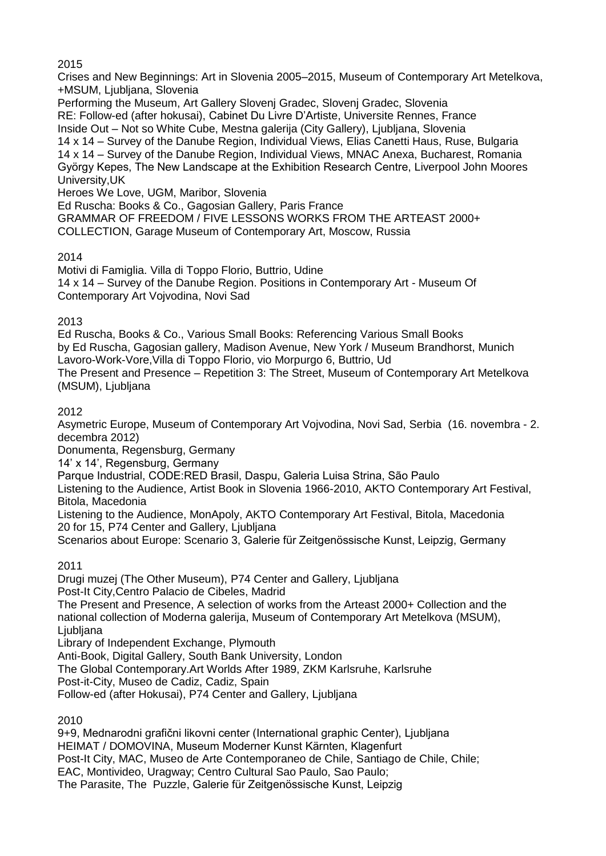Crises and New Beginnings: Art in Slovenia 2005–2015, Museum of Contemporary Art Metelkova, +MSUM, Ljubljana, Slovenia

Performing the Museum, Art Gallery Slovenj Gradec, Slovenj Gradec, Slovenia RE: Follow-ed (after hokusai), Cabinet Du Livre D'Artiste, Universite Rennes, France Inside Out – Not so White Cube, Mestna galerija (City Gallery), Ljubljana, Slovenia 14 x 14 – Survey of the Danube Region, Individual Views, Elias Canetti Haus, Ruse, Bulgaria 14 x 14 – Survey of the Danube Region, Individual Views, MNAC Anexa, Bucharest, Romania György Kepes, The New Landscape at the Exhibition Research Centre, Liverpool John Moores University,UK

Heroes We Love, UGM, Maribor, Slovenia

Ed Ruscha: Books & Co., Gagosian Gallery, Paris France GRAMMAR OF FREEDOM / FIVE LESSONS WORKS FROM THE ARTEAST 2000+ COLLECTION, Garage Museum of Contemporary Art, Moscow, Russia

2014

Motivi di Famiglia. Villa di Toppo Florio, Buttrio, Udine 14 x 14 – [Survey of the Danube Region. Positions in Contemporary Art](http://www.artfacts.net/login/required) - [Museum Of](http://www.artfacts.net/login/required)  [Contemporary Art Vojvodina,](http://www.artfacts.net/login/required) Novi Sad

2013

Ed Ruscha, Books & Co., Various Small Books: Referencing Various Small Books by Ed Ruscha, Gagosian gallery, Madison Avenue, New York / Museum Brandhorst, Munich Lavoro-Work-Vore,Villa di Toppo Florio, vio Morpurgo 6, Buttrio, Ud The Present and Presence – Repetition 3: The Street, Museum of Contemporary Art Metelkova (MSUM), Ljubljana

2012

Asymetric Europe, Museum of Contemporary Art Vojvodina, Novi Sad, Serbia (16. novembra - 2. decembra 2012)

Donumenta, Regensburg, Germany

14' x 14', Regensburg, Germany

Parque Industrial, CODE:RED Brasil, Daspu, Galeria Luisa Strina, São Paulo

Listening to the Audience, Artist Book in Slovenia 1966-2010, AKTO Contemporary Art Festival, Bitola, Macedonia

Listening to the Audience, MonApoly, AKTO Contemporary Art Festival, Bitola, Macedonia 20 for 15, P74 Center and Gallery, Ljubljana

Scenarios about Europe: Scenario 3, Galerie für Zeitgenössische Kunst, Leipzig, Germany

2011

Drugi muzej (The Other Museum), P74 Center and Gallery, Ljubljana Post-It City[,Centro Palacio de Cibeles,](http://www.madrid.es/portales/munimadrid/es/Inicio/Eventos/CentroCentro-Palacio-de-Cibeles?vgnextfmt=default&vgnextoid=5ff519cd7bcee210VgnVCM1000000b205a0aRCRD&vgnextchannel=27dfb4f19cce3210VgnVCM10000026205a0aRCRD) Madrid The Present and Presence, A selection of works from the Arteast 2000+ Collection and the national collection of Moderna galerija, Museum of Contemporary Art Metelkova (MSUM), Liubliana Library of Independent Exchange, Plymouth Anti-Book, Digital Gallery, South Bank University, London The Global Contemporary.Art Worlds After 1989, ZKM Karlsruhe, Karlsruhe Post-it-City, Museo de Cadiz, Cadiz, Spain Follow-ed (after Hokusai), P74 Center and Gallery, Ljubljana

2010

9+9, Mednarodni grafični likovni center (International graphic Center), Ljubljana HEIMAT / DOMOVINA, Museum Moderner Kunst Kärnten, Klagenfurt Post-It City, MAC, Museo de Arte Contemporaneo de Chile, Santiago de Chile, Chile; EAC, Montivideo, Uragway; Centro Cultural Sao Paulo, Sao Paulo; The Parasite, The Puzzle, Galerie für Zeitgenössische Kunst, Leipzig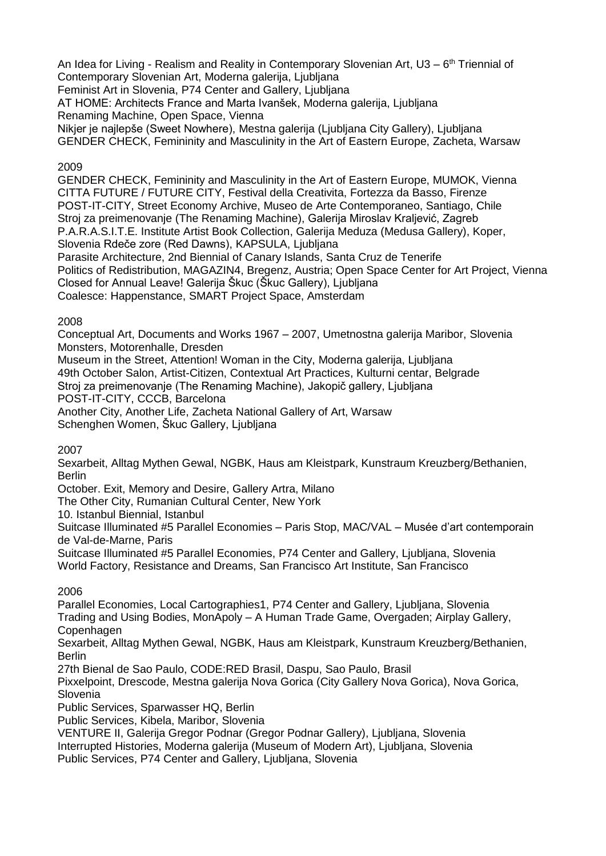An Idea for Living - Realism and Reality in Contemporary Slovenian Art,  $U3 - 6<sup>th</sup>$  Triennial of Contemporary Slovenian Art, Moderna galerija, Ljubljana Feminist Art in Slovenia, P74 Center and Gallery, Ljubljana AT HOME: Architects France and Marta Ivanšek, Moderna galerija, Liubliana Renaming Machine, Open Space, Vienna

Nikjer je najlepše (Sweet Nowhere), Mestna galerija (Ljubljana City Gallery), Ljubljana

GENDER CHECK, Femininity and Masculinity in the Art of Eastern Europe, Zacheta, Warsaw

## 2009

GENDER CHECK, Femininity and Masculinity in the Art of Eastern Europe, MUMOK, Vienna CITTA FUTURE / FUTURE CITY, Festival della Creativita, Fortezza da Basso, Firenze POST-IT-CITY, Street Economy Archive, Museo de Arte Contemporaneo, Santiago, Chile Stroj za preimenovanje (The Renaming Machine), Galerija Miroslav Kraljević, Zagreb P.A.R.A.S.I.T.E. Institute Artist Book Collection, Galerija Meduza (Medusa Gallery), Koper, Slovenia Rdeče zore (Red Dawns), KAPSULA, Ljubljana Parasite Architecture, 2nd Biennial of Canary Islands, Santa Cruz de Tenerife Politics of Redistribution, MAGAZIN4, Bregenz, Austria; Open Space Center for Art Project, Vienna Closed for Annual Leave! Galerija Škuc (Škuc Gallery), Ljubljana Coalesce: Happenstance, SMART Project Space, Amsterdam

## 2008

Conceptual Art, Documents and Works 1967 – 2007, Umetnostna galerija Maribor, Slovenia Monsters, Motorenhalle, Dresden

Museum in the Street, Attention! Woman in the City, Moderna galerija, Ljubljana 49th October Salon, Artist-Citizen, Contextual Art Practices, Kulturni centar, Belgrade Stroj za preimenovanje (The Renaming Machine), Jakopič gallery, Ljubljana POST-IT-CITY, CCCB, Barcelona Another City, Another Life, Zacheta National Gallery of Art, Warsaw

Schenghen Women, Škuc Gallery, Ljubljana

2007

Sexarbeit, Alltag Mythen Gewal, NGBK, Haus am Kleistpark, Kunstraum Kreuzberg/Bethanien, Berlin

October. Exit, Memory and Desire, Gallery Artra, Milano

The Other City, Rumanian Cultural Center, New York

10. Istanbul Biennial, Istanbul

Suitcase Illuminated #5 Parallel Economies – Paris Stop, MAC/VAL – Musée d'art contemporain de Val-de-Marne, Paris

Suitcase Illuminated #5 Parallel Economies, P74 Center and Gallery, Ljubljana, Slovenia World Factory, Resistance and Dreams, San Francisco Art Institute, San Francisco

## 2006

Parallel Economies, Local Cartographies1, P74 Center and Gallery, Ljubljana, Slovenia Trading and Using Bodies, MonApoly – A Human Trade Game, Overgaden; Airplay Gallery, **Copenhagen** 

Sexarbeit, Alltag Mythen Gewal, NGBK, Haus am Kleistpark, Kunstraum Kreuzberg/Bethanien, Berlin

27th Bienal de Sao Paulo, CODE:RED Brasil, Daspu, Sao Paulo, Brasil

Pixxelpoint, Drescode, Mestna galerija Nova Gorica (City Gallery Nova Gorica), Nova Gorica, Slovenia

Public Services, Sparwasser HQ, Berlin

Public Services, Kibela, Maribor, Slovenia

VENTURE II, Galerija Gregor Podnar (Gregor Podnar Gallery), Ljubljana, Slovenia

Interrupted Histories, Moderna galerija (Museum of Modern Art), Ljubljana, Slovenia

Public Services, P74 Center and Gallery, Ljubljana, Slovenia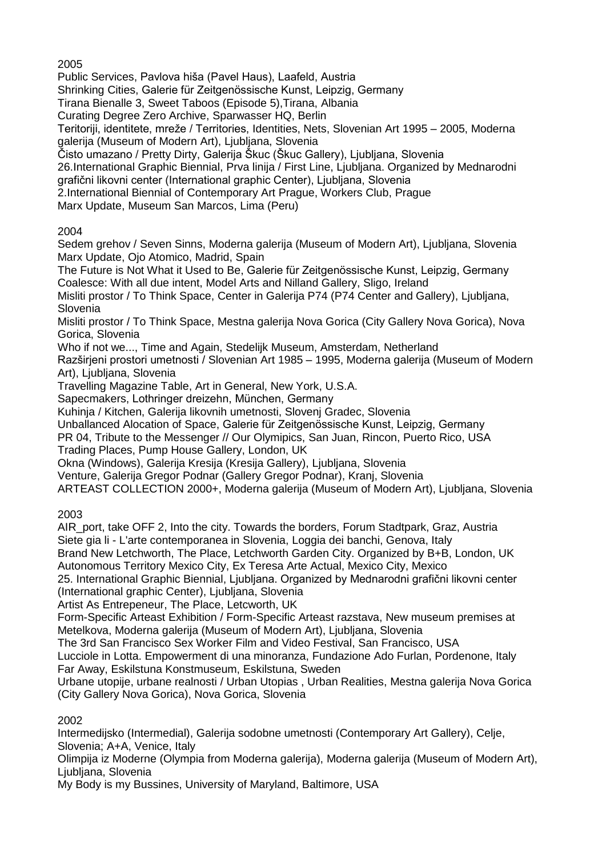Public Services, Pavlova hiša (Pavel Haus), Laafeld, Austria

Shrinking Cities, Galerie für Zeitgenössische Kunst, Leipzig, Germany

Tirana Bienalle 3, Sweet Taboos (Episode 5),Tirana, Albania

Curating Degree Zero Archive, Sparwasser HQ, Berlin

Teritoriji, identitete, mreže / Territories, Identities, Nets, Slovenian Art 1995 – 2005, Moderna galerija (Museum of Modern Art), Ljubljana, Slovenia

Čisto umazano / Pretty Dirty, Galerija Škuc (Škuc Gallery), Ljubljana, Slovenia

26.International Graphic Biennial, Prva linija / First Line, Ljubljana. Organized by Mednarodni grafični likovni center (International graphic Center), Ljubljana, Slovenia

2.International Biennial of Contemporary Art Prague, Workers Club, Prague

Marx Update, Museum San Marcos, Lima (Peru)

## 2004

Sedem grehov / Seven Sinns, Moderna galerija (Museum of Modern Art), Ljubljana, Slovenia Marx Update, Ojo Atomico, Madrid, Spain

The Future is Not What it Used to Be, Galerie für Zeitgenössische Kunst, Leipzig, Germany Coalesce: With all due intent, Model Arts and Nilland Gallery, Sligo, Ireland

Misliti prostor / To Think Space, Center in Galerija P74 (P74 Center and Gallery), Ljubljana, Slovenia

Misliti prostor / To Think Space, Mestna galerija Nova Gorica (City Gallery Nova Gorica), Nova Gorica, Slovenia

Who if not we..., Time and Again, Stedelijk Museum, Amsterdam, Netherland

Razširjeni prostori umetnosti / Slovenian Art 1985 – 1995, Moderna galerija (Museum of Modern Art), Ljubljana, Slovenia

Travelling Magazine Table, Art in General, New York, U.S.A.

Sapecmakers, Lothringer dreizehn, München, Germany

Kuhinja / Kitchen, Galerija likovnih umetnosti, Slovenj Gradec, Slovenia

Unballanced Alocation of Space, Galerie für Zeitgenössische Kunst, Leipzig, Germany

PR 04, Tribute to the Messenger // Our Olymipics, San Juan, Rincon, Puerto Rico, USA Trading Places, Pump House Gallery, London, UK

Okna (Windows), Galerija Kresija (Kresija Gallery), Ljubljana, Slovenia

Venture, Galerija Gregor Podnar (Gallery Gregor Podnar), Kranj, Slovenia

ARTEAST COLLECTION 2000+, Moderna galerija (Museum of Modern Art), Ljubljana, Slovenia

2003

AIR\_port, take OFF 2, Into the city. Towards the borders, Forum Stadtpark, Graz, Austria Siete gia li - L'arte contemporanea in Slovenia, Loggia dei banchi, Genova, Italy

Brand New Letchworth, The Place, Letchworth Garden City. Organized by B+B, London, UK Autonomous Territory Mexico City, Ex Teresa Arte Actual, Mexico City, Mexico

25. International Graphic Biennial, Ljubljana. Organized by Mednarodni grafični likovni center (International graphic Center), Ljubljana, Slovenia

Artist As Entrepeneur, The Place, Letcworth, UK

Form-Specific Arteast Exhibition / Form-Specific Arteast razstava, New museum premises at Metelkova, Moderna galerija (Museum of Modern Art), Ljubljana, Slovenia

The 3rd San Francisco Sex Worker Film and Video Festival, San Francisco, USA

Lucciole in Lotta. Empowerment di una minoranza, Fundazione Ado Furlan, Pordenone, Italy Far Away, Eskilstuna Konstmuseum, Eskilstuna, Sweden

Urbane utopije, urbane realnosti / Urban Utopias , Urban Realities, Mestna galerija Nova Gorica (City Gallery Nova Gorica), Nova Gorica, Slovenia

2002

Intermedijsko (Intermedial), Galerija sodobne umetnosti (Contemporary Art Gallery), Celje, Slovenia; A+A, Venice, Italy

Olimpija iz Moderne (Olympia from Moderna galerija), Moderna galerija (Museum of Modern Art), Ljubljana, Slovenia

My Body is my Bussines, University of Maryland, Baltimore, USA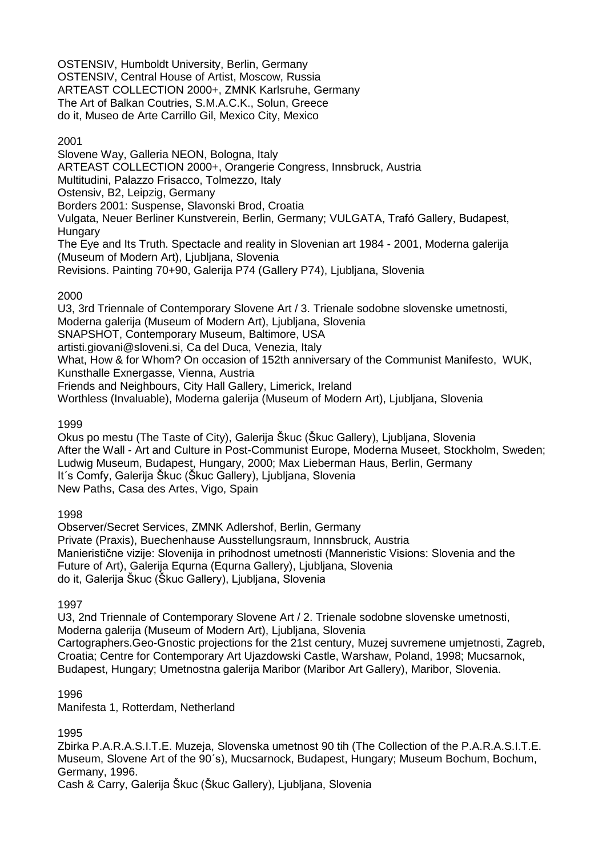OSTENSIV, Humboldt University, Berlin, Germany OSTENSIV, Central House of Artist, Moscow, Russia ARTEAST COLLECTION 2000+, ZMNK Karlsruhe, Germany The Art of Balkan Coutries, S.M.A.C.K., Solun, Greece do it, Museo de Arte Carrillo Gil, Mexico City, Mexico

## 2001

Slovene Way, Galleria NEON, Bologna, Italy ARTEAST COLLECTION 2000+, Orangerie Congress, Innsbruck, Austria Multitudini, Palazzo Frisacco, Tolmezzo, Italy Ostensiv, B2, Leipzig, Germany Borders 2001: Suspense, Slavonski Brod, Croatia Vulgata, Neuer Berliner Kunstverein, Berlin, Germany; VULGATA, Trafó Gallery, Budapest, **Hungary** The Eye and Its Truth. Spectacle and reality in Slovenian art 1984 - 2001, Moderna galerija (Museum of Modern Art), Ljubljana, Slovenia

Revisions. Painting 70+90, Galerija P74 (Gallery P74), Ljubljana, Slovenia

## 2000

U3, 3rd Triennale of Contemporary Slovene Art / 3. Trienale sodobne slovenske umetnosti, Moderna galerija (Museum of Modern Art), Ljubljana, Slovenia SNAPSHOT, Contemporary Museum, Baltimore, USA artisti.giovani@sloveni.si, Ca del Duca, Venezia, Italy What, How & for Whom? On occasion of 152th anniversary of the Communist Manifesto, WUK, Kunsthalle Exnergasse, Vienna, Austria Friends and Neighbours, City Hall Gallery, Limerick, Ireland Worthless (Invaluable), Moderna galerija (Museum of Modern Art), Ljubljana, Slovenia

## 1999

Okus po mestu (The Taste of City), Galerija Škuc (Škuc Gallery), Ljubljana, Slovenia After the Wall - Art and Culture in Post-Communist Europe, Moderna Museet, Stockholm, Sweden; Ludwig Museum, Budapest, Hungary, 2000; Max Lieberman Haus, Berlin, Germany It´s Comfy, Galerija Škuc (Škuc Gallery), Ljubljana, Slovenia New Paths, Casa des Artes, Vigo, Spain

1998

Observer/Secret Services, ZMNK Adlershof, Berlin, Germany Private (Praxis), Buechenhause Ausstellungsraum, Innnsbruck, Austria Manieristične vizije: Slovenija in prihodnost umetnosti (Manneristic Visions: Slovenia and the Future of Art), Galerija Equrna (Equrna Gallery), Ljubljana, Slovenia do it, Galerija Škuc (Škuc Gallery), Ljubljana, Slovenia

1997

U3, 2nd Triennale of Contemporary Slovene Art / 2. Trienale sodobne slovenske umetnosti, Moderna galerija (Museum of Modern Art), Ljubljana, Slovenia Cartographers.Geo-Gnostic projections for the 21st century, Muzej suvremene umjetnosti, Zagreb, Croatia; Centre for Contemporary Art Ujazdowski Castle, Warshaw, Poland, 1998; Mucsarnok, Budapest, Hungary; Umetnostna galerija Maribor (Maribor Art Gallery), Maribor, Slovenia.

1996

Manifesta 1, Rotterdam, Netherland

1995

Zbirka P.A.R.A.S.I.T.E. Muzeja, Slovenska umetnost 90 tih (The Collection of the P.A.R.A.S.I.T.E. Museum, Slovene Art of the 90´s), Mucsarnock, Budapest, Hungary; Museum Bochum, Bochum, Germany, 1996.

Cash & Carry, Galerija Škuc (Škuc Gallery), Ljubljana, Slovenia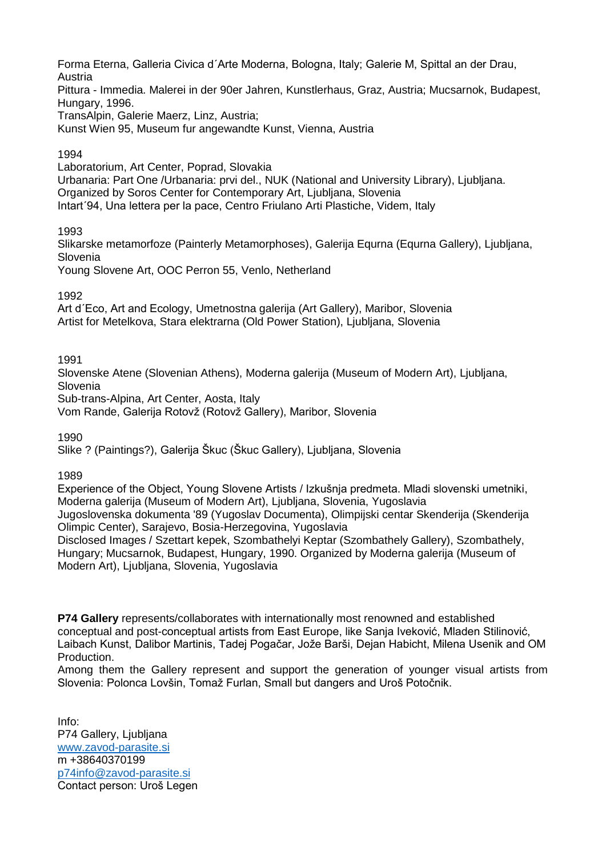Forma Eterna, Galleria Civica d´Arte Moderna, Bologna, Italy; Galerie M, Spittal an der Drau, Austria

Pittura - Immedia. Malerei in der 90er Jahren, Kunstlerhaus, Graz, Austria; Mucsarnok, Budapest, Hungary, 1996.

TransAlpin, Galerie Maerz, Linz, Austria;

Kunst Wien 95, Museum fur angewandte Kunst, Vienna, Austria

#### 1994

Laboratorium, Art Center, Poprad, Slovakia Urbanaria: Part One /Urbanaria: prvi del., NUK (National and University Library), Ljubljana. Organized by Soros Center for Contemporary Art, Ljubljana, Slovenia Intart´94, Una lettera per la pace, Centro Friulano Arti Plastiche, Videm, Italy

## 1993

Slikarske metamorfoze (Painterly Metamorphoses), Galerija Equrna (Equrna Gallery), Ljubljana, Slovenia

Young Slovene Art, OOC Perron 55, Venlo, Netherland

1992

Art d´Eco, Art and Ecology, Umetnostna galerija (Art Gallery), Maribor, Slovenia Artist for Metelkova, Stara elektrarna (Old Power Station), Ljubljana, Slovenia

1991

Slovenske Atene (Slovenian Athens), Moderna galerija (Museum of Modern Art), Ljubljana, Slovenia Sub-trans-Alpina, Art Center, Aosta, Italy

Vom Rande, Galerija Rotovž (Rotovž Gallery), Maribor, Slovenia

1990

Slike ? (Paintings?), Galerija Škuc (Škuc Gallery), Ljubljana, Slovenia

#### 1989

Experience of the Object, Young Slovene Artists / Izkušnja predmeta. Mladi slovenski umetniki, Moderna galerija (Museum of Modern Art), Ljubljana, Slovenia, Yugoslavia Jugoslovenska dokumenta '89 (Yugoslav Documenta), Olimpijski centar Skenderija (Skenderija Olimpic Center), Sarajevo, Bosia-Herzegovina, Yugoslavia Disclosed Images / Szettart kepek, Szombathelyi Keptar (Szombathely Gallery), Szombathely, Hungary; Mucsarnok, Budapest, Hungary, 1990. Organized by Moderna galerija (Museum of Modern Art), Ljubljana, Slovenia, Yugoslavia

**P74 Gallery** represents/collaborates with internationally most renowned and established conceptual and post-conceptual artists from East Europe, like Sanja Iveković, Mladen Stilinović, Laibach Kunst, Dalibor Martinis, Tadej Pogačar, Jože Barši, Dejan Habicht, Milena Usenik and OM Production.

Among them the Gallery represent and support the generation of younger visual artists from Slovenia: Polonca Lovšin, Tomaž Furlan, Small but dangers and Uroš Potočnik.

Info: P74 Gallery, Ljubljana [www.zavod-parasite.si](http://www.zavod-parasite.si/) m +38640370199 [p74info@zavod-parasite.si](mailto:p74info@zavod-parasite.si) Contact person: Uroš Legen